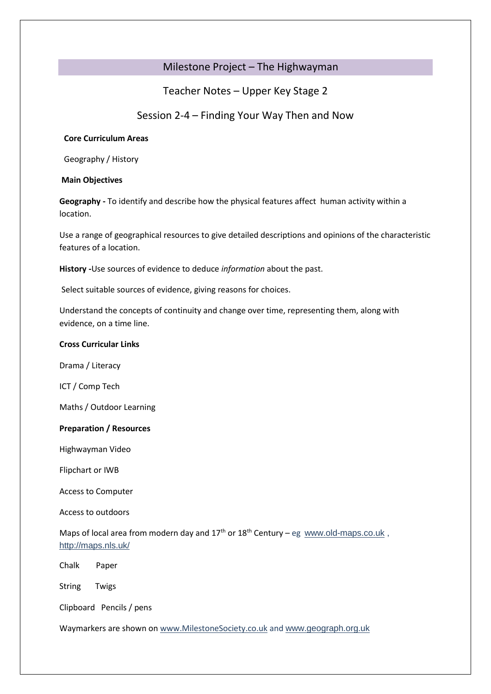# Milestone Project – The Highwayman

Teacher Notes – Upper Key Stage 2

Session 2-4 – Finding Your Way Then and Now

# **Core Curriculum Areas**

Geography / History

# **Main Objectives**

**Geography -** To identify and describe how the physical features affect human activity within a location.

Use a range of geographical resources to give detailed descriptions and opinions of the characteristic features of a location.

**History -**Use sources of evidence to deduce *information* about the past.

Select suitable sources of evidence, giving reasons for choices.

Understand the concepts of continuity and change over time, representing them, along with evidence, on a time line.

# **Cross Curricular Links**

Drama / Literacy

ICT / Comp Tech

Maths / Outdoor Learning

## **Preparation / Resources**

Highwayman Video

Flipchart or IWB

Access to Computer

Access to outdoors

Maps of local area from modern day and  $17<sup>th</sup>$  or  $18<sup>th</sup>$  Century – eg [www.old-maps.co.uk](http://www.old-maps.co.uk/), http://maps.nls.uk/

Chalk Paper

String Twigs

Clipboard Pencils / pens

Waymarkers are shown on [www.MilestoneSociety.co.uk](http://www.milestonesociety.co.uk/) and www.geograph.org.uk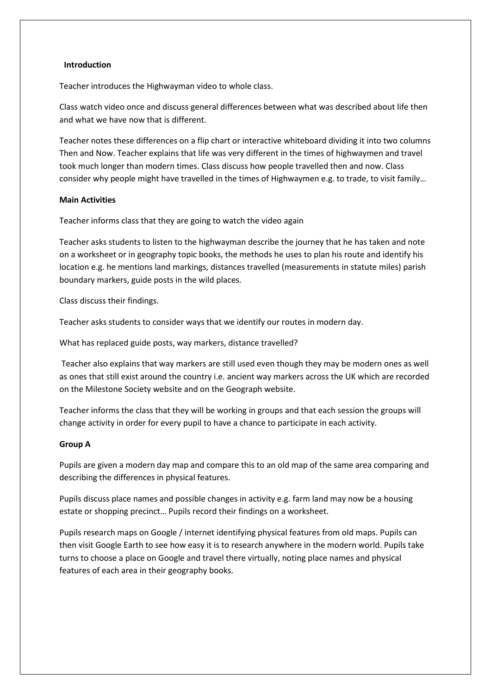### **Introduction**

Teacher introduces the Highwayman video to whole class.

Class watch video once and discuss general differences between what was described about life then and what we have now that is different.

Teacher notes these differences on a flip chart or interactive whiteboard dividing it into two columns Then and Now. Teacher explains that life was very different in the times of highwaymen and travel took much longer than modern times. Class discuss how people travelled then and now. Class consider why people might have travelled in the times of Highwaymen e.g. to trade, to visit family…

## **Main Activities**

Teacher informs class that they are going to watch the video again

Teacher asks students to listen to the highwayman describe the journey that he has taken and note on a worksheet or in geography topic books, the methods he uses to plan his route and identify his location e.g. he mentions land markings, distances travelled (measurements in statute miles) parish boundary markers, guide posts in the wild places.

Class discuss their findings.

Teacher asks students to consider ways that we identify our routes in modern day.

What has replaced guide posts, way markers, distance travelled?

Teacher also explains that way markers are still used even though they may be modern ones as well as ones that still exist around the country i.e. ancient way markers across the UK which are recorded on the Milestone Society website and on the Geograph website.

Teacher informs the class that they will be working in groups and that each session the groups will change activity in order for every pupil to have a chance to participate in each activity.

#### **Group A**

Pupils are given a modern day map and compare this to an old map of the same area comparing and describing the differences in physical features.

Pupils discuss place names and possible changes in activity e.g. farm land may now be a housing estate or shopping precinct… Pupils record their findings on a worksheet.

Pupils research maps on Google / internet identifying physical features from old maps. Pupils can then visit Google Earth to see how easy it is to research anywhere in the modern world. Pupils take turns to choose a place on Google and travel there virtually, noting place names and physical features of each area in their geography books.